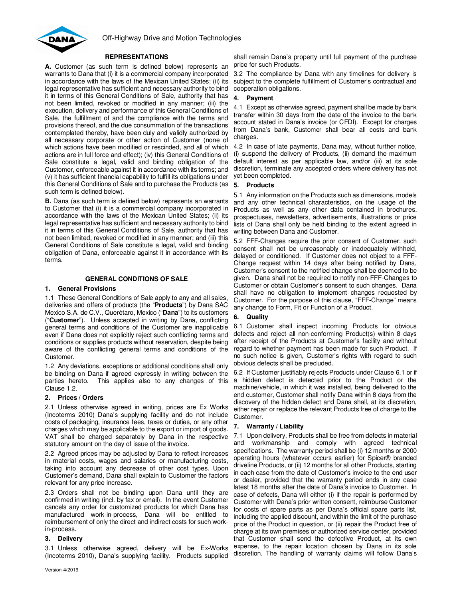

# **REPRESENTATIONS**

**A.** Customer (as such term is defined below) represents an warrants to Dana that (i) it is a commercial company incorporated in accordance with the laws of the Mexican United States; (ii) its legal representative has sufficient and necessary authority to bind it in terms of this General Conditions of Sale, authority that has not been limited, revoked or modified in any manner; (iii) the execution, delivery and performance of this General Conditions of Sale, the fulfillment of and the compliance with the terms and provisions thereof, and the due consummation of the transactions contemplated thereby, have been duly and validly authorized by all necessary corporate or other action of Customer (none of which actions have been modified or rescinded, and all of which actions are in full force and effect); (iv) this General Conditions of Sale constitute a legal, valid and binding obligation of the Customer, enforceable against it in accordance with its terms; and (v) it has sufficient financial capability to fulfill its obligations under this General Conditions of Sale and to purchase the Products (as **5. Products**  such term is defined below).

**B.** Dana (as such term is defined below) represents an warrants and any other technical characteristics, on the usage of the to Customer that (i) it is a commercial company incorporated in accordance with the laws of the Mexican United States; (ii) its legal representative has sufficient and necessary authority to bind it in terms of this General Conditions of Sale, authority that has not been limited, revoked or modified in any manner; and (iii) this General Conditions of Sale constitute a legal, valid and binding obligation of Dana, enforceable against it in accordance with its terms.

## **GENERAL CONDITIONS OF SALE**

### **1. General Provisions**

1.1 These General Conditions of Sale apply to any and all sales, deliveries and offers of products (the "**Products**") by Dana SAC Mexico S.A. de C.V., Querétaro, Mexico ("**Dana**") to its customers ("**Customer**"). Unless accepted in writing by Dana, conflicting general terms and conditions of the Customer are inapplicable even if Dana does not explicitly reject such conflicting terms and conditions or supplies products without reservation, despite being aware of the conflicting general terms and conditions of the Customer.

1.2 Any deviations, exceptions or additional conditions shall only be binding on Dana if agreed expressly in writing between the parties hereto. This applies also to any changes of this Clause 1.2.

### **2. Prices / Orders**

2.1 Unless otherwise agreed in writing, prices are Ex Works (Incoterms 2010) Dana's supplying facility and do not include costs of packaging, insurance fees, taxes or duties, or any other charges which may be applicable to the export or import of goods. VAT shall be charged separately by Dana in the respective statutory amount on the day of issue of the invoice.

2.2 Agreed prices may be adjusted by Dana to reflect increases in material costs, wages and salaries or manufacturing costs, taking into account any decrease of other cost types. Upon Customer's demand, Dana shall explain to Customer the factors relevant for any price increase.

2.3 Orders shall not be binding upon Dana until they are confirmed in writing (incl. by fax or email). In the event Customer cancels any order for customized products for which Dana has manufactured work-in-process, Dana will be entitled to reimbursement of only the direct and indirect costs for such workin-process.

### **3. Delivery**

3.1 Unless otherwise agreed, delivery will be Ex-Works (Incoterms 2010), Dana's supplying facility. Products supplied

shall remain Dana's property until full payment of the purchase price for such Products.

3.2 The compliance by Dana with any timelines for delivery is subject to the complete fulfillment of Customer's contractual and cooperation obligations.

## **4. Payment**

4.1 Except as otherwise agreed, payment shall be made by bank transfer within 30 days from the date of the invoice to the bank account stated in Dana's invoice (or CFDI). Except for charges from Dana's bank, Customer shall bear all costs and bank charges.

4.2 In case of late payments, Dana may, without further notice, (i) suspend the delivery of Products, (ii) demand the maximum default interest as per applicable law, and/or (iii) at its sole discretion, terminate any accepted orders where delivery has not yet been completed.

5.1 Any information on the Products such as dimensions, models Products as well as any other data contained in brochures, prospectuses, newsletters, advertisements, illustrations or price lists of Dana shall only be held binding to the extent agreed in writing between Dana and Customer.

5.2 FFF-Changes require the prior consent of Customer; such consent shall not be unreasonably or inadequately withheld, delayed or conditioned. If Customer does not object to a FFF-Change request within 14 days after being notified by Dana, Customer's consent to the notified change shall be deemed to be given. Dana shall not be required to notify non-FFF-Changes to Customer or obtain Customer's consent to such changes. Dana shall have no obligation to implement changes requested by Customer. For the purpose of this clause, "FFF-Change" means any change to Form, Fit or Function of a Product.

## **6. Quality**

6.1 Customer shall inspect incoming Products for obvious defects and reject all non-conforming Product(s) within 8 days after receipt of the Products at Customer's facility and without regard to whether payment has been made for such Product. If no such notice is given, Customer's rights with regard to such obvious defects shall be precluded.

6.2 If Customer justifiably rejects Products under Clause 6.1 or if a hidden defect is detected prior to the Product or the machine/vehicle, in which it was installed, being delivered to the end customer, Customer shall notify Dana within 8 days from the discovery of the hidden defect and Dana shall, at its discretion, either repair or replace the relevant Products free of charge to the Customer.

## **7. Warranty / Liability**

7.1 Upon delivery, Products shall be free from defects in material and workmanship and comply with agreed technical specifications. The warranty period shall be (i) 12 months or 2000 operating hours (whatever occurs earlier) for Spicer® branded driveline Products, or (ii) 12 months for all other Products, starting in each case from the date of Customer's invoice to the end user or dealer, provided that the warranty period ends in any case latest 18 months after the date of Dana's invoice to Customer. In case of defects, Dana will either (i) if the repair is performed by Customer with Dana's prior written consent, reimburse Customer for costs of spare parts as per Dana's official spare parts list, including the applied discount, and within the limit of the purchase price of the Product in question, or (ii) repair the Product free of charge at its own premises or authorized service center, provided that Customer shall send the defective Product, at its own expense, to the repair location chosen by Dana in its sole discretion. The handling of warranty claims will follow Dana's